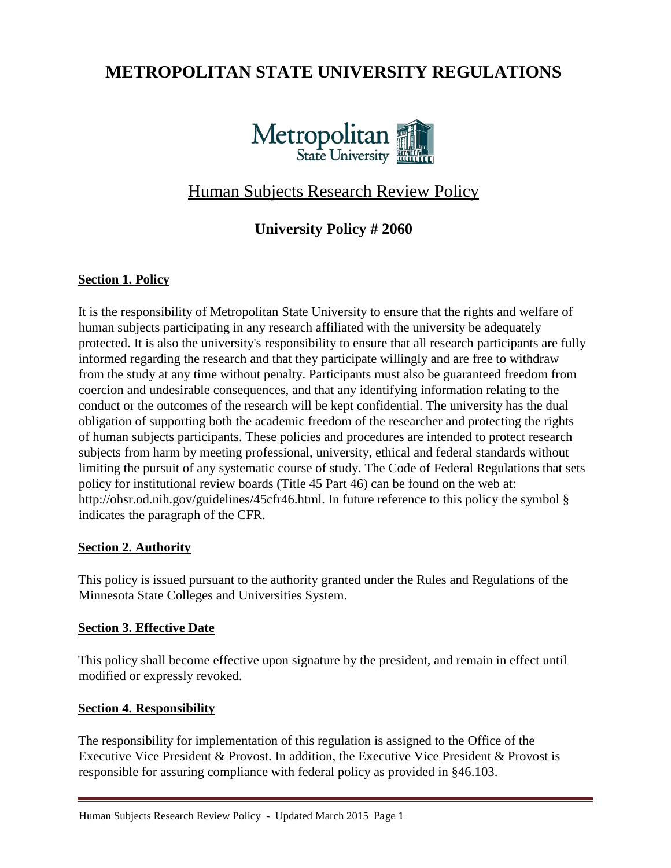# **METROPOLITAN STATE UNIVERSITY REGULATIONS**



# Human Subjects Research Review Policy

# **University Policy # 2060**

## **Section 1. Policy**

It is the responsibility of Metropolitan State University to ensure that the rights and welfare of human subjects participating in any research affiliated with the university be adequately protected. It is also the university's responsibility to ensure that all research participants are fully informed regarding the research and that they participate willingly and are free to withdraw from the study at any time without penalty. Participants must also be guaranteed freedom from coercion and undesirable consequences, and that any identifying information relating to the conduct or the outcomes of the research will be kept confidential. The university has the dual obligation of supporting both the academic freedom of the researcher and protecting the rights of human subjects participants. These policies and procedures are intended to protect research subjects from harm by meeting professional, university, ethical and federal standards without limiting the pursuit of any systematic course of study. The Code of Federal Regulations that sets policy for institutional review boards (Title 45 Part 46) can be found on the web at: http://ohsr.od.nih.gov/guidelines/45cfr46.html. In future reference to this policy the symbol § indicates the paragraph of the CFR.

### **Section 2. Authority**

This policy is issued pursuant to the authority granted under the Rules and Regulations of the Minnesota State Colleges and Universities System.

### **Section 3. Effective Date**

This policy shall become effective upon signature by the president, and remain in effect until modified or expressly revoked.

# **Section 4. Responsibility**

The responsibility for implementation of this regulation is assigned to the Office of the Executive Vice President & Provost. In addition, the Executive Vice President & Provost is responsible for assuring compliance with federal policy as provided in §46.103.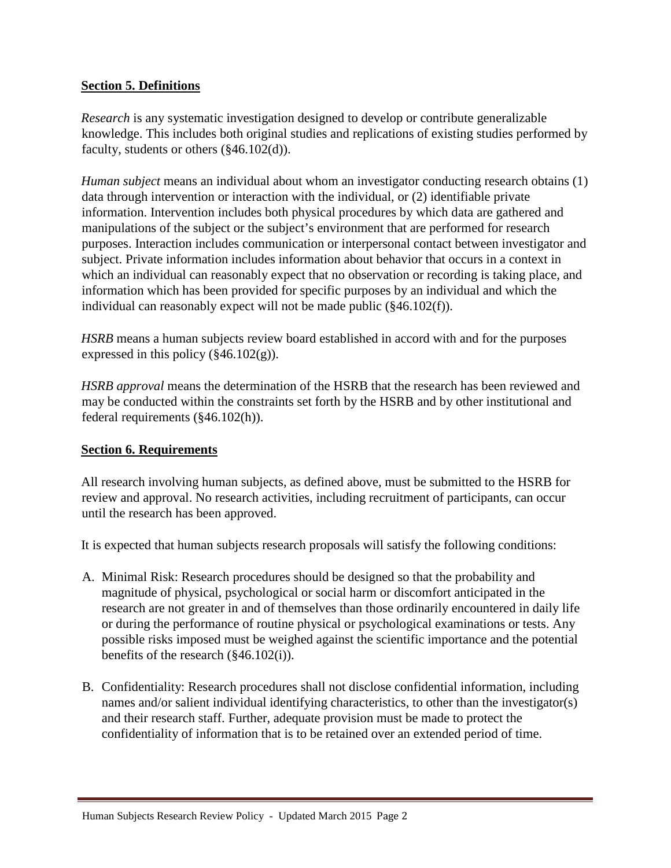#### **Section 5. Definitions**

*Research* is any systematic investigation designed to develop or contribute generalizable knowledge. This includes both original studies and replications of existing studies performed by faculty, students or others (§46.102(d)).

*Human subject* means an individual about whom an investigator conducting research obtains (1) data through intervention or interaction with the individual, or (2) identifiable private information. Intervention includes both physical procedures by which data are gathered and manipulations of the subject or the subject's environment that are performed for research purposes. Interaction includes communication or interpersonal contact between investigator and subject. Private information includes information about behavior that occurs in a context in which an individual can reasonably expect that no observation or recording is taking place, and information which has been provided for specific purposes by an individual and which the individual can reasonably expect will not be made public (§46.102(f)).

*HSRB* means a human subjects review board established in accord with and for the purposes expressed in this policy  $(\frac{246.102(g)}{g})$ .

*HSRB approval* means the determination of the HSRB that the research has been reviewed and may be conducted within the constraints set forth by the HSRB and by other institutional and federal requirements (§46.102(h)).

### **Section 6. Requirements**

All research involving human subjects, as defined above, must be submitted to the HSRB for review and approval. No research activities, including recruitment of participants, can occur until the research has been approved.

It is expected that human subjects research proposals will satisfy the following conditions:

- A. Minimal Risk: Research procedures should be designed so that the probability and magnitude of physical, psychological or social harm or discomfort anticipated in the research are not greater in and of themselves than those ordinarily encountered in daily life or during the performance of routine physical or psychological examinations or tests. Any possible risks imposed must be weighed against the scientific importance and the potential benefits of the research (§46.102(i)).
- B. Confidentiality: Research procedures shall not disclose confidential information, including names and/or salient individual identifying characteristics, to other than the investigator(s) and their research staff. Further, adequate provision must be made to protect the confidentiality of information that is to be retained over an extended period of time.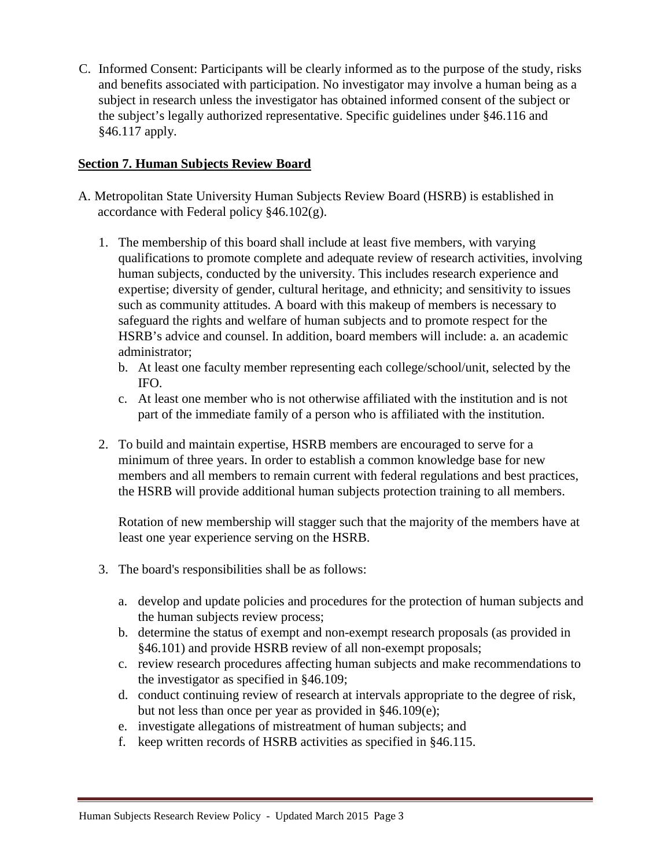C. Informed Consent: Participants will be clearly informed as to the purpose of the study, risks and benefits associated with participation. No investigator may involve a human being as a subject in research unless the investigator has obtained informed consent of the subject or the subject's legally authorized representative. Specific guidelines under §46.116 and §46.117 apply.

## **Section 7. Human Subjects Review Board**

- A. Metropolitan State University Human Subjects Review Board (HSRB) is established in accordance with Federal policy  $§46.102(g)$ .
	- 1. The membership of this board shall include at least five members, with varying qualifications to promote complete and adequate review of research activities, involving human subjects, conducted by the university. This includes research experience and expertise; diversity of gender, cultural heritage, and ethnicity; and sensitivity to issues such as community attitudes. A board with this makeup of members is necessary to safeguard the rights and welfare of human subjects and to promote respect for the HSRB's advice and counsel. In addition, board members will include: a. an academic administrator;
		- b. At least one faculty member representing each college/school/unit, selected by the IFO.
		- c. At least one member who is not otherwise affiliated with the institution and is not part of the immediate family of a person who is affiliated with the institution.
	- 2. To build and maintain expertise, HSRB members are encouraged to serve for a minimum of three years. In order to establish a common knowledge base for new members and all members to remain current with federal regulations and best practices, the HSRB will provide additional human subjects protection training to all members.

Rotation of new membership will stagger such that the majority of the members have at least one year experience serving on the HSRB.

- 3. The board's responsibilities shall be as follows:
	- a. develop and update policies and procedures for the protection of human subjects and the human subjects review process;
	- b. determine the status of exempt and non-exempt research proposals (as provided in §46.101) and provide HSRB review of all non-exempt proposals;
	- c. review research procedures affecting human subjects and make recommendations to the investigator as specified in §46.109;
	- d. conduct continuing review of research at intervals appropriate to the degree of risk, but not less than once per year as provided in §46.109(e);
	- e. investigate allegations of mistreatment of human subjects; and
	- f. keep written records of HSRB activities as specified in §46.115.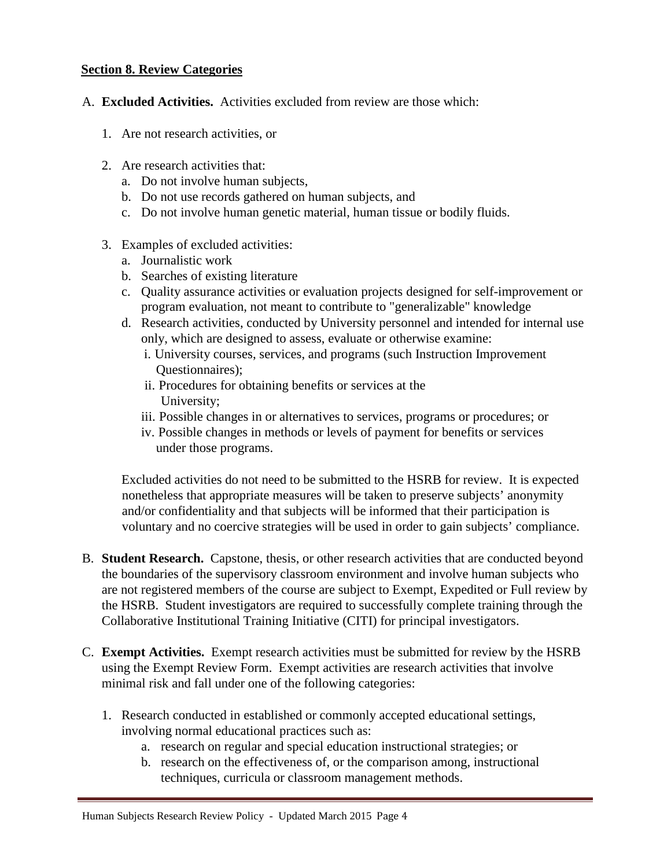#### **Section 8. Review Categories**

- A. **Excluded Activities.** Activities excluded from review are those which:
	- 1. Are not research activities, or
	- 2. Are research activities that:
		- a. Do not involve human subjects,
		- b. Do not use records gathered on human subjects, and
		- c. Do not involve human genetic material, human tissue or bodily fluids.
	- 3. Examples of excluded activities:
		- a. Journalistic work
		- b. Searches of existing literature
		- c. Quality assurance activities or evaluation projects designed for self-improvement or program evaluation, not meant to contribute to "generalizable" knowledge
		- d. Research activities, conducted by University personnel and intended for internal use only, which are designed to assess, evaluate or otherwise examine:
			- i. University courses, services, and programs (such Instruction Improvement Questionnaires);
			- ii. Procedures for obtaining benefits or services at the University;
			- iii. Possible changes in or alternatives to services, programs or procedures; or
			- iv. Possible changes in methods or levels of payment for benefits or services under those programs.

Excluded activities do not need to be submitted to the HSRB for review. It is expected nonetheless that appropriate measures will be taken to preserve subjects' anonymity and/or confidentiality and that subjects will be informed that their participation is voluntary and no coercive strategies will be used in order to gain subjects' compliance.

- B. **Student Research.** Capstone, thesis, or other research activities that are conducted beyond the boundaries of the supervisory classroom environment and involve human subjects who are not registered members of the course are subject to Exempt, Expedited or Full review by the HSRB. Student investigators are required to successfully complete training through the Collaborative Institutional Training Initiative (CITI) for principal investigators.
- C. **Exempt Activities.** Exempt research activities must be submitted for review by the HSRB using the Exempt Review Form. Exempt activities are research activities that involve minimal risk and fall under one of the following categories:
	- 1. Research conducted in established or commonly accepted educational settings, involving normal educational practices such as:
		- a. research on regular and special education instructional strategies; or
		- b. research on the effectiveness of, or the comparison among, instructional techniques, curricula or classroom management methods.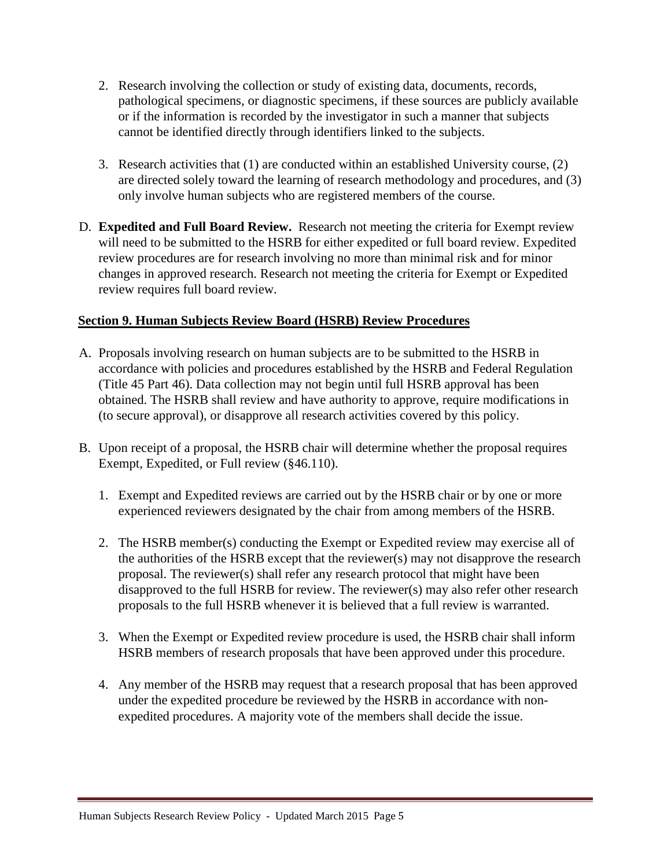- 2. Research involving the collection or study of existing data, documents, records, pathological specimens, or diagnostic specimens, if these sources are publicly available or if the information is recorded by the investigator in such a manner that subjects cannot be identified directly through identifiers linked to the subjects.
- 3. Research activities that (1) are conducted within an established University course, (2) are directed solely toward the learning of research methodology and procedures, and (3) only involve human subjects who are registered members of the course.
- D. **Expedited and Full Board Review.** Research not meeting the criteria for Exempt review will need to be submitted to the HSRB for either expedited or full board review. Expedited review procedures are for research involving no more than minimal risk and for minor changes in approved research. Research not meeting the criteria for Exempt or Expedited review requires full board review.

# **Section 9. Human Subjects Review Board (HSRB) Review Procedures**

- A. Proposals involving research on human subjects are to be submitted to the HSRB in accordance with policies and procedures established by the HSRB and Federal Regulation (Title 45 Part 46). Data collection may not begin until full HSRB approval has been obtained. The HSRB shall review and have authority to approve, require modifications in (to secure approval), or disapprove all research activities covered by this policy.
- B. Upon receipt of a proposal, the HSRB chair will determine whether the proposal requires Exempt, Expedited, or Full review (§46.110).
	- 1. Exempt and Expedited reviews are carried out by the HSRB chair or by one or more experienced reviewers designated by the chair from among members of the HSRB.
	- 2. The HSRB member(s) conducting the Exempt or Expedited review may exercise all of the authorities of the HSRB except that the reviewer(s) may not disapprove the research proposal. The reviewer(s) shall refer any research protocol that might have been disapproved to the full HSRB for review. The reviewer(s) may also refer other research proposals to the full HSRB whenever it is believed that a full review is warranted.
	- 3. When the Exempt or Expedited review procedure is used, the HSRB chair shall inform HSRB members of research proposals that have been approved under this procedure.
	- 4. Any member of the HSRB may request that a research proposal that has been approved under the expedited procedure be reviewed by the HSRB in accordance with nonexpedited procedures. A majority vote of the members shall decide the issue.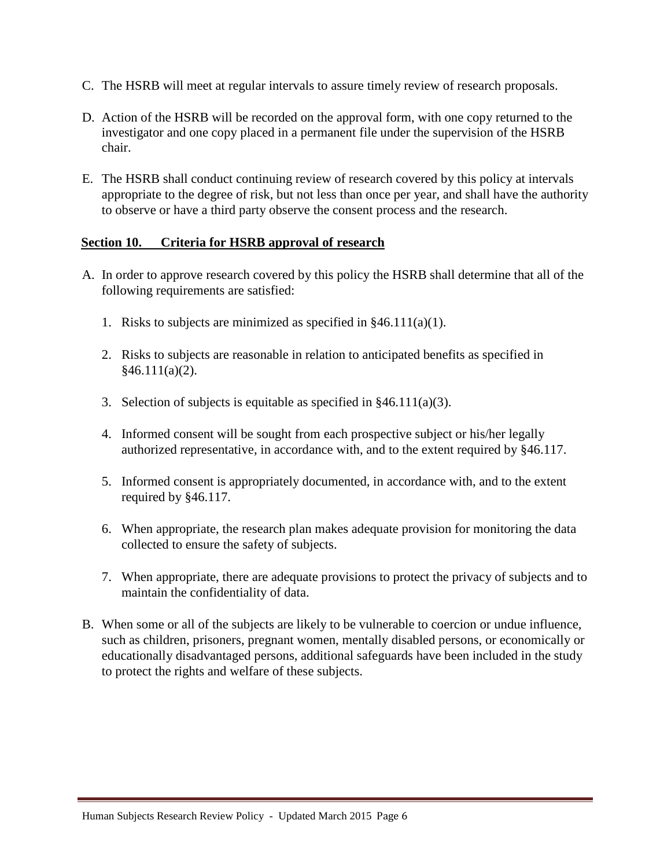- C. The HSRB will meet at regular intervals to assure timely review of research proposals.
- D. Action of the HSRB will be recorded on the approval form, with one copy returned to the investigator and one copy placed in a permanent file under the supervision of the HSRB chair.
- E. The HSRB shall conduct continuing review of research covered by this policy at intervals appropriate to the degree of risk, but not less than once per year, and shall have the authority to observe or have a third party observe the consent process and the research.

#### **Section 10. Criteria for HSRB approval of research**

- A. In order to approve research covered by this policy the HSRB shall determine that all of the following requirements are satisfied:
	- 1. Risks to subjects are minimized as specified in  $§46.111(a)(1)$ .
	- 2. Risks to subjects are reasonable in relation to anticipated benefits as specified in  $§46.111(a)(2).$
	- 3. Selection of subjects is equitable as specified in  $§46.111(a)(3)$ .
	- 4. Informed consent will be sought from each prospective subject or his/her legally authorized representative, in accordance with, and to the extent required by §46.117.
	- 5. Informed consent is appropriately documented, in accordance with, and to the extent required by §46.117.
	- 6. When appropriate, the research plan makes adequate provision for monitoring the data collected to ensure the safety of subjects.
	- 7. When appropriate, there are adequate provisions to protect the privacy of subjects and to maintain the confidentiality of data.
- B. When some or all of the subjects are likely to be vulnerable to coercion or undue influence, such as children, prisoners, pregnant women, mentally disabled persons, or economically or educationally disadvantaged persons, additional safeguards have been included in the study to protect the rights and welfare of these subjects.